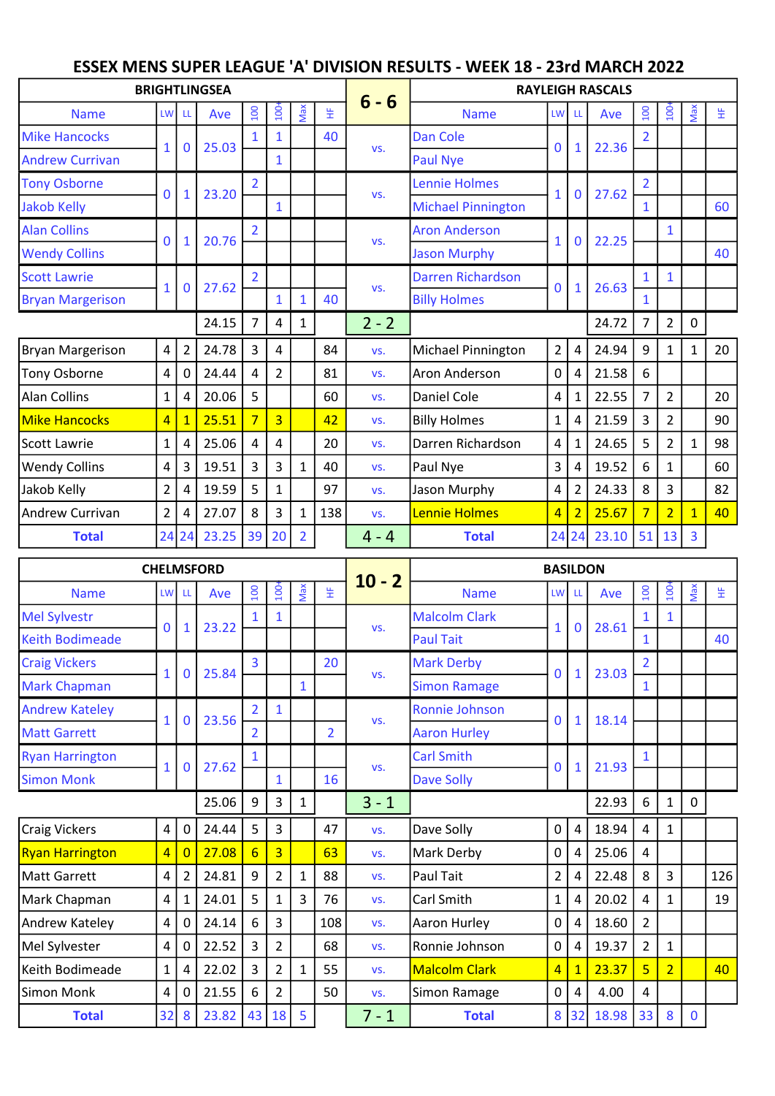## ESSEX MENS SUPER LEAGUE 'A' DIVISION RESULTS - WEEK 18 - 23rd MARCH 2022

|                         |                |                | <b>BRIGHTLINGSEA</b> |                |                |                |     |         |                           |                |                | <b>RAYLEIGH RASCALS</b> |                |                |              |    |
|-------------------------|----------------|----------------|----------------------|----------------|----------------|----------------|-----|---------|---------------------------|----------------|----------------|-------------------------|----------------|----------------|--------------|----|
| <b>Name</b>             | <b>LW</b>      | <b>LL</b>      | Ave                  | 100            | 100            | Max            | 뚶   | $6 - 6$ | <b>Name</b>               | LW LL          |                | Ave                     | 100            | $\frac{1}{2}$  | Max          | 뚶  |
| <b>Mike Hancocks</b>    | $\mathbf{1}$   | 0              | 25.03                | 1              | 1              |                | 40  |         | <b>Dan Cole</b>           | $\mathbf 0$    | $\mathbf{1}$   | 22.36                   |                |                |              |    |
| <b>Andrew Currivan</b>  |                |                |                      |                | 1              |                |     | VS.     | <b>Paul Nye</b>           |                |                |                         |                |                |              |    |
| <b>Tony Osborne</b>     | $\mathbf 0$    | 1              | 23.20                | $\overline{2}$ |                |                |     |         | <b>Lennie Holmes</b>      | 1              | $\mathbf{0}$   | 27.62                   | $\overline{2}$ |                |              |    |
| <b>Jakob Kelly</b>      |                |                |                      |                | 1              |                |     | VS.     | <b>Michael Pinnington</b> |                |                |                         | $\mathbf{1}$   |                |              | 60 |
| <b>Alan Collins</b>     | $\mathbf{0}$   | $\mathbf{1}$   | 20.76                | $\overline{2}$ |                |                |     | VS.     | <b>Aron Anderson</b>      | $\mathbf{1}$   | 0              | 22.25                   |                | 1              |              |    |
| <b>Wendy Collins</b>    |                |                |                      |                |                |                |     |         | <b>Jason Murphy</b>       |                |                |                         |                |                |              | 40 |
| <b>Scott Lawrie</b>     | $\mathbf{1}$   | 0              | 27.62                | $\overline{2}$ |                |                |     | VS.     | <b>Darren Richardson</b>  | $\mathbf 0$    | $\mathbf{1}$   | 26.63                   | $\mathbf{1}$   | 1              |              |    |
| <b>Bryan Margerison</b> |                |                |                      |                | 1              |                | 40  |         | <b>Billy Holmes</b>       |                |                |                         | $\mathbf{1}$   |                |              |    |
|                         |                |                | 24.15                | $\overline{7}$ | 4              | 1              |     | $2 - 2$ |                           |                |                | 24.72                   | $\overline{7}$ | $\overline{2}$ | 0            |    |
| <b>Bryan Margerison</b> | $\overline{4}$ | $\overline{2}$ | 24.78                | 3              | 4              |                | 84  | VS.     | Michael Pinnington        | 2 <sup>1</sup> | $\overline{4}$ | 24.94                   | 9              | $\mathbf{1}$   | $\mathbf{1}$ | 20 |
| Tony Osborne            | 4              | 0              | 24.44                | 4              | $\overline{2}$ |                | 81  | VS.     | Aron Anderson             | $\overline{0}$ | 4              | 21.58                   | 6              |                |              |    |
| Alan Collins            | $\mathbf{1}$   | 4              | 20.06                | 5              |                |                | 60  | VS.     | <b>Daniel Cole</b>        | $\overline{4}$ | 1              | 22.55                   | $\overline{7}$ | $\overline{2}$ |              | 20 |
| <b>Mike Hancocks</b>    | $\overline{4}$ |                | 25.51                | $\overline{7}$ | $\overline{3}$ |                | 42  | VS.     | <b>Billy Holmes</b>       | $\mathbf{1}$   | 4              | 21.59                   | 3              | $\overline{2}$ |              | 90 |
| Scott Lawrie            | $\mathbf{1}$   | 4              | 25.06                | 4              | 4              |                | 20  | VS.     | Darren Richardson         | $\overline{4}$ | $\mathbf{1}$   | 24.65                   | 5              | $\overline{2}$ | $\mathbf{1}$ | 98 |
| <b>Wendy Collins</b>    | $\overline{4}$ | 3              | 19.51                | 3              | 3              | 1              | 40  | VS.     | Paul Nye                  | $\overline{3}$ | 4              | 19.52                   | 6              | $\mathbf{1}$   |              | 60 |
| Jakob Kelly             | $\overline{2}$ | 4              | 19.59                | 5              | 1              |                | 97  | VS.     | Jason Murphy              | $\overline{4}$ | $\overline{2}$ | 24.33                   | 8              | 3              |              | 82 |
| <b>Andrew Currivan</b>  | $\overline{2}$ | 4              | 27.07                | 8              | 3              | 1              | 138 | VS.     | Lennie Holmes             | $\overline{4}$ | $\overline{2}$ | 25.67                   | $\overline{7}$ | $\overline{2}$ | $\mathbf{1}$ | 40 |
| <b>Total</b>            |                | 24 24          | 23.25                | 39             | 20             | $\overline{2}$ |     | $4 - 4$ | <b>Total</b>              |                | 24 24          | 23.10                   | 51             | 13             | 3            |    |

| <b>CHELMSFORD</b><br>Max<br>100<br>$\overline{100}$<br><b>Name</b><br><b>LW</b><br>Ave<br>LL<br>$\mathbf{1}$<br>23.22<br>$\mathbf 0$<br>1<br>$\overline{3}$<br>25.84<br>$\mathbf{1}$<br>$\bf{0}$<br>1<br>$\overline{2}$<br>$\mathbf{1}$<br>23.56<br>$\mathbf 0$<br>$\mathbf{1}$<br>$\overline{2}$<br>1<br>$\mathbf{1}$<br>27.62<br>0<br>1<br>25.06<br>9<br>3<br>1<br>$\pmb{4}$<br>5<br>3<br>24.44<br>0<br>$\overline{3}$<br>27.08<br>$6\overline{6}$<br>$\overline{4}$<br>$\overline{0}$<br>$\overline{\mathbf{4}}$<br>24.81<br>9<br>$\overline{2}$<br>2<br>1<br>5<br>$\overline{\mathbf{4}}$<br>24.01<br>3<br>1<br>1<br>$\pmb{4}$<br>$\mathbf{3}$<br>24.14<br>6<br>0 |              |   |       |   |                | <b>BASILDON</b> |                |                                                               |                      |                |              |       |                  |                  |             |     |
|-----------------------------------------------------------------------------------------------------------------------------------------------------------------------------------------------------------------------------------------------------------------------------------------------------------------------------------------------------------------------------------------------------------------------------------------------------------------------------------------------------------------------------------------------------------------------------------------------------------------------------------------------------------------------|--------------|---|-------|---|----------------|-----------------|----------------|---------------------------------------------------------------|----------------------|----------------|--------------|-------|------------------|------------------|-------------|-----|
|                                                                                                                                                                                                                                                                                                                                                                                                                                                                                                                                                                                                                                                                       |              |   |       |   |                |                 | 뚶              | $10 - 2$<br>VS.<br>VS.<br>VS.<br>VS.<br>$3 - 1$<br>VS.<br>VS. | <b>Name</b>          |                | LW LL        | Ave   | $\overline{100}$ | $\overline{100}$ | Max         | 뚶   |
| <b>Mel Sylvestr</b>                                                                                                                                                                                                                                                                                                                                                                                                                                                                                                                                                                                                                                                   |              |   |       |   |                |                 |                |                                                               | <b>Malcolm Clark</b> | $\mathbf{1}$   | $\mathbf 0$  | 28.61 |                  |                  |             |     |
| <b>Keith Bodimeade</b>                                                                                                                                                                                                                                                                                                                                                                                                                                                                                                                                                                                                                                                |              |   |       |   |                |                 |                |                                                               | <b>Paul Tait</b>     |                |              |       | 1                |                  |             | 40  |
| <b>Craig Vickers</b>                                                                                                                                                                                                                                                                                                                                                                                                                                                                                                                                                                                                                                                  |              |   |       |   |                |                 | 20             |                                                               | <b>Mark Derby</b>    | $\mathbf{0}$   | $\mathbf{1}$ | 23.03 | $\overline{2}$   |                  |             |     |
| <b>Mark Chapman</b>                                                                                                                                                                                                                                                                                                                                                                                                                                                                                                                                                                                                                                                   |              |   |       |   |                |                 |                |                                                               | <b>Simon Ramage</b>  |                |              |       | $\mathbf{1}$     |                  |             |     |
| <b>Andrew Kateley</b>                                                                                                                                                                                                                                                                                                                                                                                                                                                                                                                                                                                                                                                 |              |   |       |   |                |                 |                |                                                               | Ronnie Johnson       | $\mathbf{0}$   | $\mathbf{1}$ | 18.14 |                  |                  |             |     |
| <b>Matt Garrett</b>                                                                                                                                                                                                                                                                                                                                                                                                                                                                                                                                                                                                                                                   |              |   |       |   |                |                 | $\overline{2}$ |                                                               | <b>Aaron Hurley</b>  |                |              |       |                  |                  |             |     |
| <b>Ryan Harrington</b>                                                                                                                                                                                                                                                                                                                                                                                                                                                                                                                                                                                                                                                |              |   |       |   |                |                 |                |                                                               | <b>Carl Smith</b>    | $\mathbf{0}$   | $\mathbf{1}$ | 21.93 |                  |                  |             |     |
| <b>Simon Monk</b>                                                                                                                                                                                                                                                                                                                                                                                                                                                                                                                                                                                                                                                     |              |   |       |   |                |                 | 16             |                                                               | <b>Dave Solly</b>    |                |              |       |                  |                  |             |     |
|                                                                                                                                                                                                                                                                                                                                                                                                                                                                                                                                                                                                                                                                       |              |   |       |   |                |                 |                |                                                               |                      |                |              | 22.93 | 6                | $\mathbf{1}$     | $\mathbf 0$ |     |
| Craig Vickers                                                                                                                                                                                                                                                                                                                                                                                                                                                                                                                                                                                                                                                         |              |   |       |   |                |                 | 47             |                                                               | Dave Solly           | 0              | 4            | 18.94 | 4                | $\mathbf{1}$     |             |     |
| <b>Ryan Harrington</b>                                                                                                                                                                                                                                                                                                                                                                                                                                                                                                                                                                                                                                                |              |   |       |   |                |                 | 63             |                                                               | Mark Derby           | 0              | 4            | 25.06 | 4                |                  |             |     |
| Matt Garrett                                                                                                                                                                                                                                                                                                                                                                                                                                                                                                                                                                                                                                                          |              |   |       |   |                |                 | 88             | VS.                                                           | Paul Tait            | $\overline{2}$ | 4            | 22.48 | 8                | 3                |             | 126 |
| Mark Chapman                                                                                                                                                                                                                                                                                                                                                                                                                                                                                                                                                                                                                                                          |              |   |       |   |                |                 | 76             | VS.                                                           | Carl Smith           | $\mathbf{1}$   | 4            | 20.02 | 4                | 1                |             | 19  |
| Andrew Kateley                                                                                                                                                                                                                                                                                                                                                                                                                                                                                                                                                                                                                                                        |              |   |       |   |                |                 | 108            | VS.                                                           | Aaron Hurley         | 0              | 4            | 18.60 | $\overline{2}$   |                  |             |     |
| Mel Sylvester                                                                                                                                                                                                                                                                                                                                                                                                                                                                                                                                                                                                                                                         | 4            | 0 | 22.52 | 3 | $\overline{2}$ |                 | 68             | VS.                                                           | Ronnie Johnson       | $\mathsf{O}$   | 4            | 19.37 | $\overline{2}$   | $\mathbf{1}$     |             |     |
| Keith Bodimeade                                                                                                                                                                                                                                                                                                                                                                                                                                                                                                                                                                                                                                                       | $\mathbf{1}$ | 4 | 22.02 | 3 | $\overline{2}$ | 1               | 55             | VS.                                                           | Malcolm Clark        | $\overline{4}$ | $\mathbf{1}$ | 23.37 | $\overline{5}$   | $\overline{2}$   |             | 40  |
| Simon Monk                                                                                                                                                                                                                                                                                                                                                                                                                                                                                                                                                                                                                                                            | 4            | 0 | 21.55 | 6 | $\overline{2}$ |                 | 50             | VS.                                                           | Simon Ramage         | 0              | 4            | 4.00  | 4                |                  |             |     |
| <b>Total</b>                                                                                                                                                                                                                                                                                                                                                                                                                                                                                                                                                                                                                                                          | 32           | 8 | 23.82 |   | 43 18          | 5               |                | $7 - 1$                                                       | <b>Total</b>         |                | 8 32         | 18.98 | 33               | 8                | $\mathbf 0$ |     |